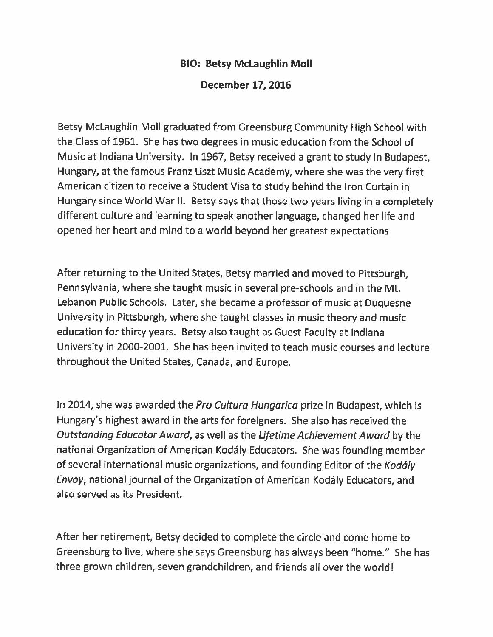## **BIO: Betsy McLaughlin Moll**

## **December 17, 2016**

Betsy McLaughlin Moll graduated from Greensburg Community High School with the Class of 1961. She has two degrees in music education from the School of Music at Indiana University. In 1967, Betsy received a grant to study in Budapest, Hungary, at the famous Franz Liszt Music Academy, where she was the very first American citizen to receive a Student Visa to study behind the Iron Curtain in Hungary since World War II. Betsy says that those two years living in a completely different culture and learning to speak another language, changed her life and opened her heart and mind to a world beyond her greatest expectations.

After returning to the United States, Betsy married and moved to Pittsburgh, Pennsylvania, where she taught music in several pre-schools and in the Mt. Lebanon Public Schools. Later, she became a professor of music at Duquesne University in Pittsburgh, where she taught classes in music theory and music education for thirty years. Betsy also taught as Guest Faculty at Indiana University in 2000-2001. She has been invited to teach music courses and lecture throughout the United States, Canada, and Europe.

In 2014, she was awarded the Pro Cultura Hungarica prize in Budapest, which is Hungary's highest award in the arts for foreigners. She also has received the Outstanding Educator Award, as well as the Lifetime Achievement Award by the national Organization of American Kodály Educators. She was founding member of several international music organizations, and founding Editor of the Kodály Envoy, national journal of the Organization of American Kodály Educators, and also served as its President.

After her retirement, Betsy decided to complete the circle and come home to Greensburg to live, where she says Greensburg has always been "home." She has three grown children, seven grandchildren, and friends all over the world!